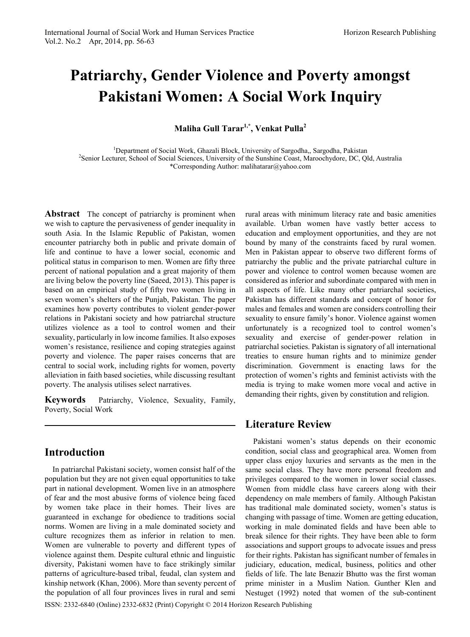# **Patriarchy, Gender Violence and Poverty amongst Pakistani Women: A Social Work Inquiry**

**Maliha Gull Tarar1,\*, Venkat Pulla<sup>2</sup>**

<sup>1</sup>Department of Social Work, Ghazali Block, University of Sargodha, Sargodha, Pakistan <sup>2</sup>Senior Lecturer, School of Social Sciences, University of the Supplies Coast, Maroochydore, DC, Ol <sup>2</sup>Senior Lecturer, School of Social Sciences, University of the Sunshine Coast, Maroochydore, DC, Qld, Australia \*Corresponding Author: malihatarar@yahoo.com

**Abstract** The concept of patriarchy is prominent when we wish to capture the pervasiveness of gender inequality in south Asia. In the Islamic Republic of Pakistan, women encounter patriarchy both in public and private domain of life and continue to have a lower social, economic and political status in comparison to men. Women are fifty three percent of national population and a great majority of them are living below the poverty line (Saeed, 2013). This paper is based on an empirical study of fifty two women living in seven women's shelters of the Punjab, Pakistan. The paper examines how poverty contributes to violent gender-power relations in Pakistani society and how patriarchal structure utilizes violence as a tool to control women and their sexuality, particularly in low income families. It also exposes women's resistance, resilience and coping strategies against poverty and violence. The paper raises concerns that are central to social work, including rights for women, poverty alleviation in faith based societies, while discussing resultant poverty. The analysis utilises select narratives.

**Keywords** Patriarchy, Violence, Sexuality, Family, Poverty, Social Work

# **Introduction**

In patriarchal Pakistani society, women consist half of the population but they are not given equal opportunities to take part in national development. Women live in an atmosphere of fear and the most abusive forms of violence being faced by women take place in their homes. Their lives are guaranteed in exchange for obedience to traditions social norms. Women are living in a male dominated society and culture recognizes them as inferior in relation to men. Women are vulnerable to poverty and different types of violence against them. Despite cultural ethnic and linguistic diversity, Pakistani women have to face strikingly similar patterns of agriculture-based tribal, feudal, clan system and kinship network (Khan, 2006). More than seventy percent of the population of all four provinces lives in rural and semi

<span id="page-0-0"></span>ISSN: 2332-6840 (Online) 2332-6832 (Print) Copyright © 2014 Horizon Research Publishing

rural areas with minimum literacy rate and basic amenities available. Urban women have vastly better access to education and employment opportunities, and they are not bound by many of the constraints faced by rural women. Men in Pakistan appear to observe two different forms of patriarchy the public and the private patriarchal culture in power and violence to control women because women are considered as inferior and subordinate compared with men in all aspects of life. Like many other patriarchal societies, Pakistan has different standards and concept of honor for males and females and women are considers controlling their sexuality to ensure family's honor. Violence against women unfortunately is a recognized tool to control women's sexuality and exercise of gender-power relation in patriarchal societies. Pakistan is signatory of all international treaties to ensure human rights and to minimize gender discrimination. Government is enacting laws for the protection of women's rights and feminist activists with the media is trying to make women more vocal and active in demanding their rights, given by constitution and religion.

# **Literature Review**

Pakistani women's status depends on their economic condition, social class and geographical area. Women from upper class enjoy luxuries and servants as the men in the same social class. They have more personal freedom and privileges compared to the women in lower social classes. Women from middle class have careers along with their dependency on male members of family. Although Pakistan has traditional male dominated society, women's status is changing with passage of time. Women are getting education, working in male dominated fields and have been able to break silence for their rights. They have been able to form associations and support groups to advocate issues and press for their rights. Pakistan has significant number of females in judiciary, education, medical, business, politics and other fields of life. The late Benazir Bhutto was the first woman prime minister in a Muslim Nation. Gunther Klen and Nestuget (1992) noted that women of the sub-continent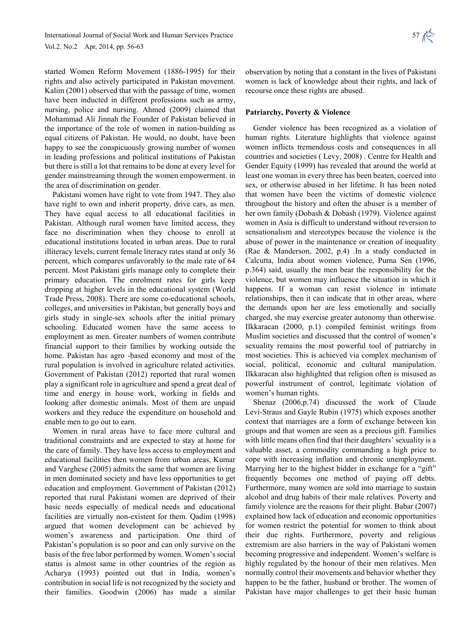started Women Reform Movement (1886-1995) for their rights and also actively participated in Pakistan movement. Kalim (2001) observed that with the passage of time, women have been inducted in different professions such as army, nursing, police and nursing. Ahmed (2009) claimed that Mohammad Ali Jinnah the Founder of Pakistan believed in the importance of the role of women in nation-building as equal citizens of Pakistan. He would, no doubt, have been happy to see the conspicuously growing number of women in leading professions and political institutions of Pakistan but there is still a lot that remains to be done at every level for gender mainstreaming through the women empowerment. in the area of discrimination on gender.

Pakistani women have right to vote from 1947. They also have right to own and inherit property, drive cars, as men. They have equal access to all educational facilities in Pakistan. Although rural women have limited access, they face no discrimination when they choose to enroll at educational institutions located in urban areas. Due to rural illiteracy levels, current female literacy rates stand at only 36 percent, which compares unfavorably to the male rate of 64 percent. Most Pakistani girls manage only to complete their primary education. The enrolment rates for girls keep dropping at higher levels in the educational system (World Trade Press, 2008). There are some co-educational schools, colleges, and universities in Pakistan, but generally boys and girls study in single-sex schools after the initial primary schooling. Educated women have the same access to employment as men. Greater numbers of women contribute financial support to their families by working outside the home. Pakistan has agro -based economy and most of the rural population is involved in agriculture related activities. Government of Pakistan (2012) reported that rural women play a significant role in agriculture and spend a great deal of time and energy in house work, working in fields and looking after domestic animals. Most of them are unpaid workers and they reduce the expenditure on household and enable men to go out to earn.

Women in rural areas have to face more cultural and traditional constraints and are expected to stay at home for the care of family. They have less access to employment and educational facilities then women from urban areas. Kumar and Varghese (2005) admits the same that women are living in men dominated society and have less opportunities to get education and employment. Government of Pakistan (2012) reported that rural Pakistani women are deprived of their basic needs especially of medical needs and educational facilities are virtually non-existent for them. Qadim (1998) argued that women development can be achieved by women's awareness and participation. One third of Pakistan's population is so poor and can only survive on the basis of the free labor performed by women. Women's social status is almost same in other countries of the region as Acharya (1993) pointed out that in India, women's contribution in social life is not recognized by the society and their families. Goodwin (2006) has made a similar

observation by noting that a constant in the lives of Pakistani women is lack of knowledge about their rights, and lack of recourse once these rights are abused.

#### **Patriarchy, Poverty & Violence**

Gender violence has been recognized as a violation of human rights. Literature highlights that violence against women inflicts tremendous costs and consequences in all countries and societies ( Levy, 2008) . Centre for Health and Gender Equity (1999) has revealed that around the world at least one woman in every three has been beaten, coerced into sex, or otherwise abused in her lifetime. It has been noted that women have been the victims of domestic violence throughout the history and often the abuser is a member of her own family (Dobash & Dobash (1979). Violence against women in Asia is difficult to understand without reversion to sensationalism and stereotypes because the violence is the abuse of power in the maintenance or creation of inequality (Rae & Manderson, 2002, p.4) *.*In a study conducted in Calcutta, India about women violence, Purna Sen (1996, p.364) said, usually the men bear the responsibility for the violence, but women may influence the situation in which it happens. If a woman can resist violence in intimate relationships, then it can indicate that in other areas, where the demands upon her are less emotionally and socially charged, she may exercise greater autonomy than otherwise. Ilkkaracan (2000, p.1) compiled feminist writings from Muslim societies and discussed that the control of women's sexuality remains the most powerful tool of patriarchy in most societies. This is achieved via complex mechanism of social, political, economic and cultural manipulation. Ilkkaracan also highlighted that religion often is misused as powerful instrument of control, legitimate violation of women's human rights.

Shenaz (2006,p.74) discussed the work of Claude Levi-Straus and Gayle Rubin (1975) which exposes another context that marriages are a form of exchange between kin groups and that women are seen as a precious gift. Families with little means often find that their daughters' sexuality is a valuable asset, a commodity commanding a high price to cope with increasing inflation and chronic unemployment. Marrying her to the highest bidder in exchange for a "gift" frequently becomes one method of paying off debts. Furthermore, many women are sold into marriage to sustain alcohol and drug habits of their male relatives. Poverty and family violence are the reasons for their plight. Babar (2007) explained how lack of education and economic opportunities for women restrict the potential for women to think about their due rights. Furthermore, poverty and religious extremism are also barriers in the way of Pakistani women becoming progressive and independent. Women's welfare is highly regulated by the honour of their men relatives. Men normally control their movements and behavior whether they happen to be the father, husband or brother. The women of Pakistan have major challenges to get their basic human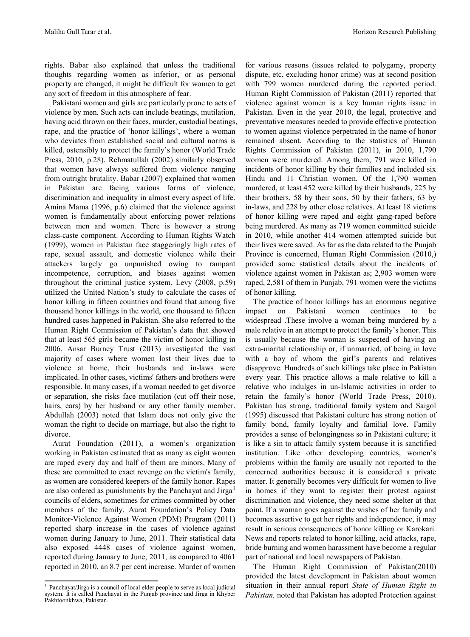rights. Babar also explained that unless the traditional thoughts regarding women as inferior, or as personal property are changed, it might be difficult for women to get any sort of freedom in this atmosphere of fear.

Pakistani women and girls are particularly prone to acts of violence by men. Such acts can include beatings, mutilation, having acid thrown on their faces, murder, custodial beatings, rape, and the practice of 'honor killings', where a woman who deviates from established social and cultural norms is killed, ostensibly to protect the family's honor (World Trade Press, 2010, p.28). Rehmatullah (2002) similarly observed that women have always suffered from violence ranging from outright brutality. Babar (2007) explained that women in Pakistan are facing various forms of violence, discrimination and inequality in almost every aspect of life. Amina Mama (1996, p.6) claimed that the violence against women is fundamentally about enforcing power relations between men and women. There is however a strong class-caste component. According to Human Rights Watch (1999), women in Pakistan face staggeringly high rates of rape, sexual assault, and domestic violence while their attackers largely go unpunished owing to rampant incompetence, corruption, and biases against women throughout the criminal justice system. Levy (2008, p.59) utilized the United Nation's study to calculate the cases of honor killing in fifteen countries and found that among five thousand honor killings in the world, one thousand to fifteen hundred cases happened in Pakistan. She also referred to the Human Right Commission of Pakistan's data that showed that at least 565 girls became the victim of honor killing in 2006. Ansar Burney Trust (2013) investigated the vast majority of cases where women lost their lives due to violence at home, their husbands and in-laws were implicated. In other cases, victims' fathers and brothers were responsible. In many cases, if a woman needed to get divorce or separation, she risks face mutilation (cut off their nose, hairs, ears) by her husband or any other family member. Abdullah (2003) noted that Islam does not only give the woman the right to decide on marriage, but also the right to divorce.

Aurat Foundation (2011), a women's organization working in Pakistan estimated that as many as eight women are raped every day and half of them are minors. Many of these are committed to exact revenge on the victim's family, as women are considered keepers of the family honor. Rapes are also ordered as punishments by the Panchayat and Jirga<sup>[1](#page-0-0)</sup> councils of elders, sometimes for crimes committed by other members of the family. Aurat Foundation's Policy Data Monitor-Violence Against Women (PDM) Program (2011) reported sharp increase in the cases of violence against women during January to June, 2011. Their statistical data also exposed 4448 cases of violence against women, reported during January to June, 2011, as compared to 4061 reported in 2010, an 8.7 per cent increase. Murder of women

for various reasons (issues related to polygamy, property dispute, etc, excluding honor crime) was at second position with 799 women murdered during the reported period. Human Right Commission of Pakistan (2011) reported that violence against women is a key human rights issue in Pakistan. Even in the year 2010, the legal, protective and preventative measures needed to provide effective protection to women against violence perpetrated in the name of honor remained absent. According to the statistics of Human Rights Commission of Pakistan (2011), in 2010, 1,790 women were murdered. Among them, 791 were killed in incidents of honor killing by their families and included six Hindu and 11 Christian women. Of the 1,790 women murdered, at least 452 were killed by their husbands, 225 by their brothers, 58 by their sons, 50 by their fathers, 63 by in-laws, and 228 by other close relatives. At least 18 victims of honor killing were raped and eight gang-raped before being murdered. As many as 719 women committed suicide in 2010, while another 414 women attempted suicide but their lives were saved. As far as the data related to the Punjab Province is concerned, Human Right Commission (2010,) provided some statistical details about the incidents of violence against women in Pakistan as; 2,903 women were raped, 2,581 of them in Punjab, 791 women were the victims of honor killing.

The practice of honor killings has an enormous negative impact on Pakistani women continues to be widespread .These involve a woman being murdered by a male relative in an attempt to protect the family's honor. This is usually because the woman is suspected of having an extra-marital relationship or, if unmarried, of being in love with a boy of whom the girl's parents and relatives disapprove. Hundreds of such killings take place in Pakistan every year. This practice allows a male relative to kill a relative who indulges in un-Islamic activities in order to retain the family's honor (World Trade Press, 2010). Pakistan has strong, traditional family system and Saigol (1995) discussed that Pakistani culture has strong notion of family bond, family loyalty and familial love. Family provides a sense of belongingness so in Pakistani culture; it is like a sin to attack family system because it is sanctified institution. Like other developing countries, women's problems within the family are usually not reported to the concerned authorities because it is considered a private matter. It generally becomes very difficult for women to live in homes if they want to register their protest against discrimination and violence, they need some shelter at that point. If a woman goes against the wishes of her family and becomes assertive to get her rights and independence, it may result in serious consequences of honor killing or Karokari. News and reports related to honor killing, acid attacks, rape, bride burning and women harassment have become a regular part of national and local newspapers of Pakistan.

The Human Right Commission of Pakistan(2010) provided the latest development in Pakistan about women situation in their annual report *State of Human Right in Pakistan,* noted that Pakistan has adopted Protection against

<sup>&</sup>lt;sup>1</sup> Panchayat/Jirga is a council of local elder people to serve as local judicial system. It is called Panchayat in the Punjab province and Jirga in Khyber Pakhtoonkhwa, Pakistan.  $\frac{1}{2}$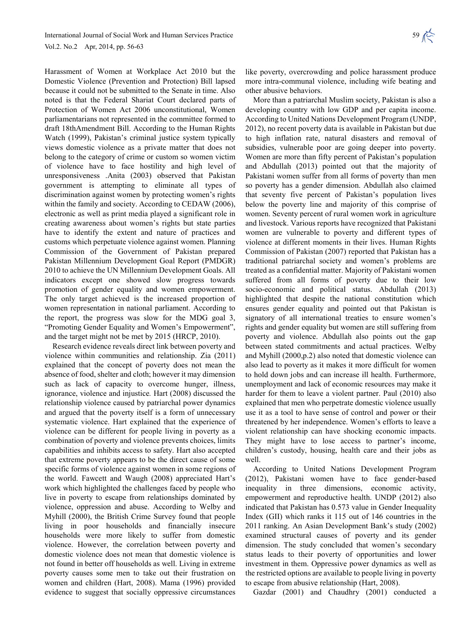Harassment of Women at Workplace Act 2010 but the Domestic Violence (Prevention and Protection) Bill lapsed because it could not be submitted to the Senate in time. Also noted is that the Federal Shariat Court declared parts of Protection of Women Act 2006 unconstitutional, Women parliamentarians not represented in the committee formed to draft 18thAmendment Bill. According to the Human Rights Watch (1999), Pakistan's criminal justice system typically views domestic violence as a private matter that does not belong to the category of crime or custom so women victim of violence have to face hostility and high level of unresponsiveness .Anita (2003) observed that Pakistan government is attempting to eliminate all types of discrimination against women by protecting women's rights within the family and society. According to CEDAW (2006), electronic as well as print media played a significant role in creating awareness about women's rights but state parties have to identify the extent and nature of practices and customs which perpetuate violence against women. Planning Commission of the Government of Pakistan prepared Pakistan Millennium Development Goal Report (PMDGR) 2010 to achieve the UN Millennium Development Goals. All indicators except one showed slow progress towards promotion of gender equality and women empowerment. The only target achieved is the increased proportion of women representation in national parliament. According to the report, the progress was slow for the MDG goal 3, "Promoting Gender Equality and Women's Empowerment", and the target might not be met by 2015 (HRCP, 2010).

Research evidence reveals direct link between poverty and violence within communities and relationship. Zia (2011) explained that the concept of poverty does not mean the absence of food, shelter and cloth; however it may dimension such as lack of capacity to overcome hunger, illness, ignorance, violence and injustice*.* Hart (2008) discussed the relationship violence caused by patriarchal power dynamics and argued that the poverty itself is a form of unnecessary systematic violence. Hart explained that the experience of violence can be different for people living in poverty as a combination of poverty and violence prevents choices, limits capabilities and inhibits access to safety. Hart also accepted that extreme poverty appears to be the direct cause of some specific forms of violence against women in some regions of the world. Fawcett and Waugh (2008) appreciated Hart's work which highlighted the challenges faced by people who live in poverty to escape from relationships dominated by violence, oppression and abuse. According to Welby and Myhill (2000), the British Crime Survey found that people living in poor households and financially insecure households were more likely to suffer from domestic violence. However, the correlation between poverty and domestic violence does not mean that domestic violence is not found in better off households as well. Living in extreme poverty causes some men to take out their frustration on women and children (Hart, 2008). Mama (1996) provided evidence to suggest that socially oppressive circumstances

like poverty, overcrowding and police harassment produce more intra-communal violence, including wife beating and other abusive behaviors.

More than a patriarchal Muslim society, Pakistan is also a developing country with low GDP and per capita income. According to United Nations Development Program (UNDP, 2012), no recent poverty data is available in Pakistan but due to high inflation rate, natural disasters and removal of subsidies, vulnerable poor are going deeper into poverty. Women are more than fifty percent of Pakistan's population and Abdullah (2013) pointed out that the majority of Pakistani women suffer from all forms of poverty than men so poverty has a gender dimension. Abdullah also claimed that seventy five percent of Pakistan's population lives below the poverty line and majority of this comprise of women. Seventy percent of rural women work in agriculture and livestock. Various reports have recognized that Pakistani women are vulnerable to poverty and different types of violence at different moments in their lives. Human Rights Commission of Pakistan (2007) reported that Pakistan has a traditional patriarchal society and women's problems are treated as a confidential matter. Majority of Pakistani women suffered from all forms of poverty due to their low socio-economic and political status. Abdullah (2013) highlighted that despite the national constitution which ensures gender equality and pointed out that Pakistan is signatory of all international treaties to ensure women's rights and gender equality but women are still suffering from poverty and violence. Abdullah also points out the gap between stated commitments and actual practices. Welby and Myhill (2000,p.2) also noted that domestic violence can also lead to poverty as it makes it more difficult for women to hold down jobs and can increase ill health. Furthermore, unemployment and lack of economic resources may make it harder for them to leave a violent partner. Paul (2010) also explained that men who perpetrate domestic violence usually use it as a tool to have sense of control and power or their threatened by her independence. Women's efforts to leave a violent relationship can have shocking economic impacts. They might have to lose access to partner's income, children's custody, housing, health care and their jobs as well.

According to United Nations Development Program (2012), Pakistani women have to face gender-based inequality in three dimensions, economic activity, empowerment and reproductive health. UNDP (2012) also indicated that Pakistan has 0.573 value in Gender Inequality Index (GII) which ranks it 115 out of 146 countries in the 2011 ranking. An Asian Development Bank's study (2002) examined structural causes of poverty and its gender dimension. The study concluded that women's secondary status leads to their poverty of opportunities and lower investment in them. Oppressive power dynamics as well as the restricted options are available to people living in poverty to escape from abusive relationship (Hart, 2008).

Gazdar (2001) and Chaudhry (2001) conducted a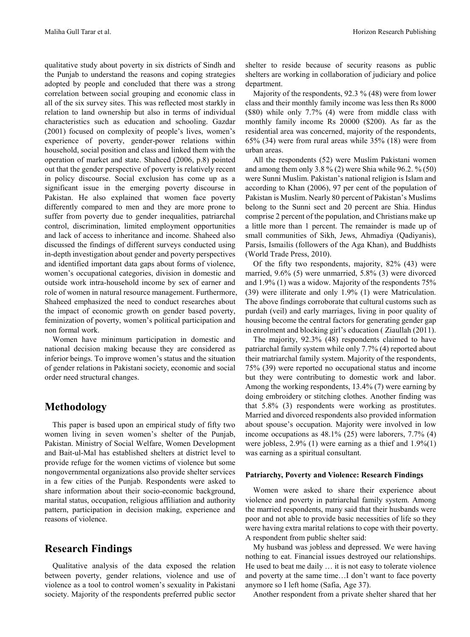qualitative study about poverty in six districts of Sindh and the Punjab to understand the reasons and coping strategies adopted by people and concluded that there was a strong correlation between social grouping and economic class in all of the six survey sites. This was reflected most starkly in relation to land ownership but also in terms of individual characteristics such as education and schooling. Gazdar (2001) focused on complexity of people's lives, women's experience of poverty, gender-power relations within household, social position and class and linked them with the operation of market and state. Shaheed (2006, p.8) pointed out that the gender perspective of poverty is relatively recent in policy discourse. Social exclusion has come up as a significant issue in the emerging poverty discourse in Pakistan. He also explained that women face poverty differently compared to men and they are more prone to suffer from poverty due to gender inequalities, patriarchal control, discrimination, limited employment opportunities and lack of access to inheritance and income. Shaheed also discussed the findings of different surveys conducted using in-depth investigation about gender and poverty perspectives and identified important data gaps about forms of violence, women's occupational categories, division in domestic and outside work intra-household income by sex of earner and role of women in natural resource management. Furthermore, Shaheed emphasized the need to conduct researches about the impact of economic growth on gender based poverty, feminization of poverty, women's political participation and non formal work.

Women have minimum participation in domestic and national decision making because they are considered as inferior beings. To improve women's status and the situation of gender relations in Pakistani society, economic and social order need structural changes.

### **Methodology**

This paper is based upon an empirical study of fifty two women living in seven women's shelter of the Punjab, Pakistan. Ministry of Social Welfare, Women Development and Bait-ul-Mal has established shelters at district level to provide refuge for the women victims of violence but some nongovernmental organizations also provide shelter services in a few cities of the Punjab. Respondents were asked to share information about their socio-economic background, marital status, occupation, religious affiliation and authority pattern, participation in decision making, experience and reasons of violence.

## **Research Findings**

Qualitative analysis of the data exposed the relation between poverty, gender relations, violence and use of violence as a tool to control women's sexuality in Pakistani society. Majority of the respondents preferred public sector

shelter to reside because of security reasons as public shelters are working in collaboration of judiciary and police department.

Majority of the respondents, 92.3 % (48) were from lower class and their monthly family income was less then Rs 8000 (\$80) while only 7.7% (4) were from middle class with monthly family income Rs 20000 (\$200). As far as the residential area was concerned, majority of the respondents, 65% (34) were from rural areas while 35% (18) were from urban areas.

All the respondents (52) were Muslim Pakistani women and among them only 3.8  $\%$  (2) were Shia while 96.2.  $\%$  (50) were Sunni Muslim. Pakistan's national religion is Islam and according to Khan (2006), 97 per cent of the population of Pakistan is Muslim. Nearly 80 percent of Pakistan's Muslims belong to the Sunni sect and 20 percent are Shia. Hindus comprise 2 percent of the population, and Christians make up a little more than 1 percent. The remainder is made up of small communities of Sikh, Jews, Ahmadiya (Qadiyanis), Parsis, Ismailis (followers of the Aga Khan), and Buddhists (World Trade Press, 2010).

Of the fifty two respondents, majority, 82% (43) were married, 9.6% (5) were unmarried, 5.8% (3) were divorced and 1.9% (1) was a widow. Majority of the respondents 75% (39) were illiterate and only 1.9% (1) were Matriculation. The above findings corroborate that cultural customs such as purdah (veil) and early marriages, living in poor quality of housing become the central factors for generating gender gap in enrolment and blocking girl's education ( Ziaullah (2011).

The majority, 92.3% (48) respondents claimed to have patriarchal family system while only 7.7% (4) reported about their matriarchal family system. Majority of the respondents, 75% (39) were reported no occupational status and income but they were contributing to domestic work and labor. Among the working respondents, 13.4% (7) were earning by doing embroidery or stitching clothes. Another finding was that 5.8% (3) respondents were working as prostitutes. Married and divorced respondents also provided information about spouse's occupation. Majority were involved in low income occupations as 48.1% (25) were laborers, 7.7% (4) were jobless, 2.9% (1) were earning as a thief and 1.9%(1) was earning as a spiritual consultant.

#### **Patriarchy, Poverty and Violence: Research Findings**

Women were asked to share their experience about violence and poverty in patriarchal family system. Among the married respondents, many said that their husbands were poor and not able to provide basic necessities of life so they were having extra marital relations to cope with their poverty. A respondent from public shelter said:

My husband was jobless and depressed. We were having nothing to eat. Financial issues destroyed our relationships. He used to beat me daily … it is not easy to tolerate violence and poverty at the same time…I don't want to face poverty anymore so I left home (Safia, Age 37).

Another respondent from a private shelter shared that her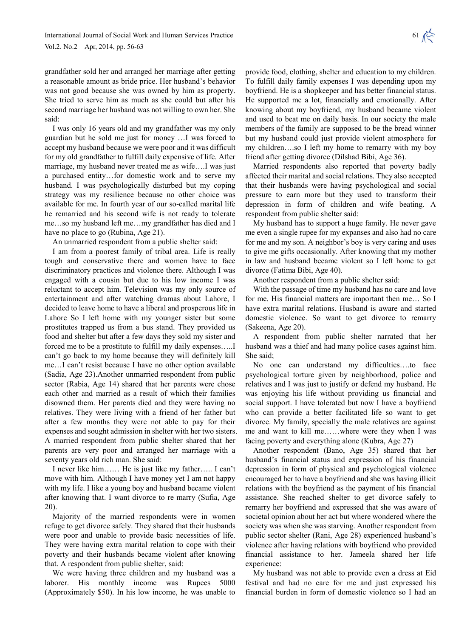grandfather sold her and arranged her marriage after getting a reasonable amount as bride price. Her husband's behavior was not good because she was owned by him as property. She tried to serve him as much as she could but after his second marriage her husband was not willing to own her. She said:

I was only 16 years old and my grandfather was my only guardian but he sold me just for money …I was forced to accept my husband because we were poor and it was difficult for my old grandfather to fulfill daily expensive of life. After marriage, my husband never treated me as wife….I was just a purchased entity…for domestic work and to serve my husband. I was psychologically disturbed but my coping strategy was my resilience because no other choice was available for me. In fourth year of our so-called marital life he remarried and his second wife is not ready to tolerate me…so my husband left me…my grandfather has died and I have no place to go (Rubina, Age 21).

An unmarried respondent from a public shelter said:

I am from a poorest family of tribal area. Life is really tough and conservative there and women have to face discriminatory practices and violence there. Although I was engaged with a cousin but due to his low income I was reluctant to accept him. Television was my only source of entertainment and after watching dramas about Lahore, I decided to leave home to have a liberal and prosperous life in Lahore So I left home with my younger sister but some prostitutes trapped us from a bus stand. They provided us food and shelter but after a few days they sold my sister and forced me to be a prostitute to fulfill my daily expenses…..I can't go back to my home because they will definitely kill me…I can't resist because I have no other option available (Sadia, Age 23).Another unmarried respondent from public sector (Rabia, Age 14) shared that her parents were chose each other and married as a result of which their families disowned them. Her parents died and they were having no relatives. They were living with a friend of her father but after a few months they were not able to pay for their expenses and sought admission in shelter with her two sisters. A married respondent from public shelter shared that her parents are very poor and arranged her marriage with a seventy years old rich man. She said:

I never like him…… He is just like my father….. I can't move with him. Although I have money yet I am not happy with my life. I like a young boy and husband became violent after knowing that. I want divorce to re marry (Sufia, Age 20).

Majority of the married respondents were in women refuge to get divorce safely. They shared that their husbands were poor and unable to provide basic necessities of life. They were having extra marital relation to cope with their poverty and their husbands became violent after knowing that. A respondent from public shelter, said:

We were having three children and my husband was a laborer. His monthly income was Rupees 5000 (Approximately \$50). In his low income, he was unable to

provide food, clothing, shelter and education to my children. To fulfill daily family expenses I was depending upon my boyfriend. He is a shopkeeper and has better financial status. He supported me a lot, financially and emotionally. After knowing about my boyfriend, my husband became violent and used to beat me on daily basis. In our society the male members of the family are supposed to be the bread winner but my husband could just provide violent atmosphere for my children….so I left my home to remarry with my boy friend after getting divorce (Dilshad Bibi, Age 36).

Married respondents also reported that poverty badly affected their marital and social relations. They also accepted that their husbands were having psychological and social pressure to earn more but they used to transform their depression in form of children and wife beating. A respondent from public shelter said:

My husband has to support a huge family. He never gave me even a single rupee for my expanses and also had no care for me and my son. A neighbor's boy is very caring and uses to give me gifts occasionally. After knowing that my mother in law and husband became violent so I left home to get divorce (Fatima Bibi, Age 40)*.* 

Another respondent from a public shelter said:

With the passage of time my husband has no care and love for me. His financial matters are important then me… So I have extra marital relations. Husband is aware and started domestic violence. So want to get divorce to remarry (Sakeena, Age 20).

A respondent from public shelter narrated that her husband was a thief and had many police cases against him. She said;

No one can understand my difficulties….to face psychological torture given by neighborhood, police and relatives and I was just to justify or defend my husband. He was enjoying his life without providing us financial and social support. I have tolerated but now I have a boyfriend who can provide a better facilitated life so want to get divorce. My family, specially the male relatives are against me and want to kill me……where were they when I was facing poverty and everything alone (Kubra, Age 27)

Another respondent (Bano, Age 35) shared that her husband's financial status and expression of his financial depression in form of physical and psychological violence encouraged her to have a boyfriend and she was having illicit relations with the boyfriend as the payment of his financial assistance. She reached shelter to get divorce safely to remarry her boyfriend and expressed that she was aware of societal opinion about her act but where wondered where the society was when she was starving. Another respondent from public sector shelter (Rani, Age 28) experienced husband's violence after having relations with boyfriend who provided financial assistance to her. Jameela shared her life experience:

My husband was not able to provide even a dress at Eid festival and had no care for me and just expressed his financial burden in form of domestic violence so I had an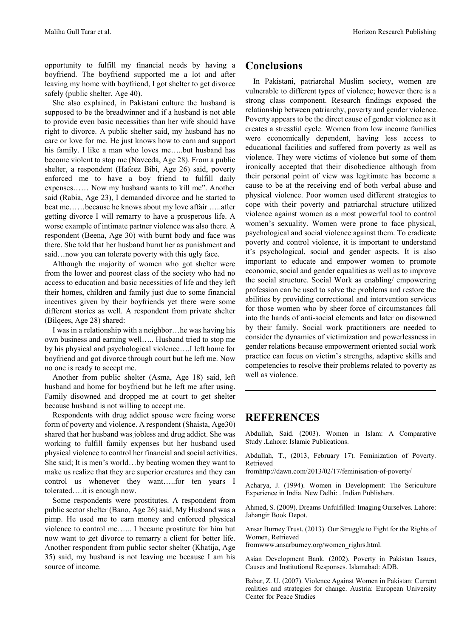opportunity to fulfill my financial needs by having a boyfriend. The boyfriend supported me a lot and after leaving my home with boyfriend, I got shelter to get divorce safely (public shelter, Age 40).

She also explained, in Pakistani culture the husband is supposed to be the breadwinner and if a husband is not able to provide even basic necessities than her wife should have right to divorce. A public shelter said, my husband has no care or love for me. He just knows how to earn and support his family. I like a man who loves me....but husband has become violent to stop me (Naveeda, Age 28). From a public shelter, a respondent (Hafeez Bibi, Age 26) said, poverty enforced me to have a boy friend to fulfill daily expenses…… Now my husband wants to kill me". Another said (Rabia, Age 23), I demanded divorce and he started to beat me……because he knows about my love affair …..after getting divorce I will remarry to have a prosperous life. A worse example of intimate partner violence was also there. A respondent (Beena, Age 30) with burnt body and face was there. She told that her husband burnt her as punishment and said…now you can tolerate poverty with this ugly face.

Although the majority of women who got shelter were from the lower and poorest class of the society who had no access to education and basic necessities of life and they left their homes, children and family just due to some financial incentives given by their boyfriends yet there were some different stories as well. A respondent from private shelter (Bilqees, Age 28) shared:

I was in a relationship with a neighbor…he was having his own business and earning well….. Husband tried to stop me by his physical and psychological violence….I left home for boyfriend and got divorce through court but he left me. Now no one is ready to accept me.

Another from public shelter (Asma, Age 18) said, left husband and home for boyfriend but he left me after using. Family disowned and dropped me at court to get shelter because husband is not willing to accept me.

Respondents with drug addict spouse were facing worse form of poverty and violence. A respondent (Shaista, Age30) shared that her husband was jobless and drug addict. She was working to fulfill family expenses but her husband used physical violence to control her financial and social activities. She said; It is men's world…by beating women they want to make us realize that they are superior creatures and they can control us whenever they want…..for ten years I tolerated….it is enough now.

Some respondents were prostitutes. A respondent from public sector shelter (Bano, Age 26) said, My Husband was a pimp. He used me to earn money and enforced physical violence to control me…... I became prostitute for him but now want to get divorce to remarry a client for better life. Another respondent from public sector shelter (Khatija, Age 35) said, my husband is not leaving me because I am his source of income.

# **Conclusions**

In Pakistani, patriarchal Muslim society, women are vulnerable to different types of violence; however there is a strong class component. Research findings exposed the relationship between patriarchy, poverty and gender violence. Poverty appears to be the direct cause of gender violence as it creates a stressful cycle. Women from low income families were economically dependent, having less access to educational facilities and suffered from poverty as well as violence. They were victims of violence but some of them ironically accepted that their disobedience although from their personal point of view was legitimate has become a cause to be at the receiving end of both verbal abuse and physical violence. Poor women used different strategies to cope with their poverty and patriarchal structure utilized violence against women as a most powerful tool to control women's sexuality. Women were prone to face physical, psychological and social violence against them. To eradicate poverty and control violence, it is important to understand it's psychological, social and gender aspects. It is also important to educate and empower women to promote economic, social and gender equalities as well as to improve the social structure. Social Work as enabling/ empowering profession can be used to solve the problems and restore the abilities by providing correctional and intervention services for those women who by sheer force of circumstances fall into the hands of anti-social elements and later on disowned by their family. Social work practitioners are needed to consider the dynamics of victimization and powerlessness in gender relations because empowerment oriented social work practice can focus on victim's strengths, adaptive skills and competencies to resolve their problems related to poverty as well as violence.

## **REFERENCES**

Abdullah, Said. (2003). Women in Islam: A Comparative Study .Lahore: Islamic Publications.

Abdullah, T., (2013, February 17). Feminization of Poverty. Retrieved

fromhttp://dawn.com/2013/02/17/feminisation-of-poverty/

Acharya, J. (1994). Women in Development: The Sericulture Experience in India. New Delhi: . Indian Publishers.

Ahmed, S. (2009). Dreams Unfulfilled: Imaging Ourselves. Lahore: Jahangir Book Depot.

Ansar Burney Trust. (2013). Our Struggle to Fight for the Rights of Women, Retrieved

fromwww.ansarburney.org/women\_righrs.html.

Asian Development Bank. (2002). Poverty in Pakistan Issues, Causes and Institutional Responses. Islamabad: ADB.

Babar, Z. U. (2007). Violence Against Women in Pakistan: Current realities and strategies for change. Austria: European University Center for Peace Studies